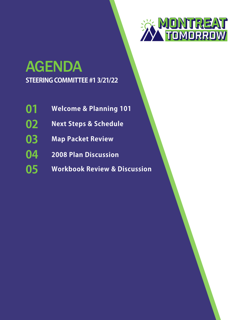

# **STEERING COMMITTEE #1 3/21/22** AGENDA

- **Welcome & Planning 101 01**
- **Next Steps & Schedule 02**
- **Map Packet Review 03**
- **2008 Plan Discussion 04**
- **Workbook Review & Discussion 05**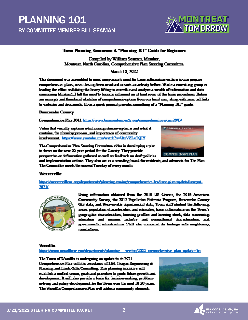### **PLANNING 101** BY COMMITTEE MEMBER BILL SEAMAN



#### Town Planning Resources: A "Planning 101" Guide for Beginners

Compiled by William Seaman, Member, Montreat, North Carolina, Comprehensive Plan Steering Committee

March 10, 2022

This document was assembled to must one person's nued for basic information on how towns prepare comprehensive plans, never having been involved in such an activity before. While a consulting group is leading the effort and doing the heavy lifting to assemble and analyze a wealth of information and data concerning Montreat, I felt the need to become informed on at least some of the basic procedures. Below are excerpts and thumknail sketches of comprehensive plans from our local area, along with assurted links to websites and documents. Even a quick perceal provides something of a "Planning 101" guide.

#### **Buncombe County**

Comprehensive Plan 2043, https://www.buncomberounty.org/comprehensive-plan-2043/

Video that visually explains what a comprehensive plan is and what it contains, the planning process, and importance of community involvement. https://www.youtube.com/watch?v=UtzVZLxTOIY



The Comprehensive Plan Steering Committee aides in developing a plan. to focus on the next 20-year period for the County. They provide perspective on information gathered as well as feedback on duaft policies.

and implementation actions. They also act as a sounding board for residents, and advocate for The Plan. The Committee meets the second Tuesday of every month.

#### **Weaverville**

https://weavervillene.org/departments/planning-zming/compushersive-land-use-plan-updated-august-2021/



Using information obtained from the 2010 US Cenens, the 2016 American Community Survey, the 2017 Pounlation Estimate Program, Buncombe County GIS data, and Weaverville departmental data, Town staff studied the following areas: population characteristics and estimates, havic information on the Town's geographic characteristics, housing profiles and housing stock, data concerning. education and income, industry and occupational characteristics, and governmental infrastructure. Staff also compared its findings with neighboring jurisdictions.

#### **Woodfre**

https://www.weedfirme.gov/departments/alamine assing/2022.comprehensive-plan\_update.pln

The Town of Woodfin is undergoing an update to its 2021 Comprehensive Plan with the assistance of J.M. Teague Engineering & Planning and Linda Giltz Consulting. This planning initiative will establish a unified vision, goals and priorities to goide future growth and development. It will also provide a basis for decision-making, problemsolving and policy development for the Town over the next 10-20 years. The Woodfin Comprehensive Plan will address community elements

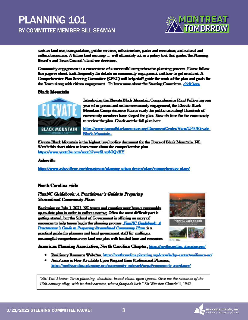### **PLANNING 101** BY COMMITTEE MEMBER BILL SEAMAN



such as land use, transportation, public services, infrastructure, parks and recreation, and natural and cultural resources. A future land use map ... will ultimately act as a pulicy tool that guides the Planning. Board's and Town Council's land use decisions.

Community engagement is a cornerstone of a successful comprehensive planning process. Please follow this page or check hack frequently for details on community engagement and how to get involved. A Comprehensive Plan Steering Committee (CPSC) will help staff guide the work of the plan and goals for the Town along with citizen engagement. To learn more about the Steering Committee, click here.

#### **Black Meantain**



Introducing the Elevate Black Mountain Comprehensive Plan! Following one year of in-nerson and online community energyment, the Elevate Black Mountain Comprehensive Plan is ready for public unveiling! Hundreds of community members have shaped the plan. Now it's time for the community to review the plan. Check out the full plan here.

https://www.townefblackmountain.org/DocumentCenter/View/2544/Elevate-**Black-Mountain-**

Elevate Black Mountain is the highest level policy document for the Town of Black Mountain, NC. Watch this short video to learn more about the comprehensive plan. https://www.youtube.com/watch?y=v8Lvn8OOvXY

#### **Asheville**

https://www.ashevillenc.gov/department/planning-whan-design/plans/enmprehensive-plans/

#### **North Carolina-wide**

#### PlanNC Guidebook: A Practitioner's Guide to Prevaring **Streamlined Community Plans**

Beginning on July 1, 2022. NC towns and counties most have a reasonably up-to-date plan in order to enforce zoning. Often the most difficult part is getting started, but the School of Government is offering an array of resources to help towns begin the planning process. FlanNC Guidebook: A Practitioner's Guide to Propering Straendinal Cononunity Plans is a practical guide for planners and local government staff for crafting a meaningful comprehensive or land was plan with limited time and resources.



American Flanning Association, North Carolina Chapter, https://northcarolina.planning.org/

- \* Resiliency Resource Websites, https://northcarolina.planning.org/knowledge-center/resiliency-ac/
- \* Assistance is Now Available Upon Request from Professional Planners, https://northearulina.planning.org/community-outreach/nepat/ennummity-assistance/

"Ah! Yes! I know: Town planning--densities, broad vistas, open spaces. Give me the romance of the 18th-century alley, with its dark corners, where footpads lurk." Six Winston Churchill, 1942.

 $\overline{\mathbf{3}}$ 

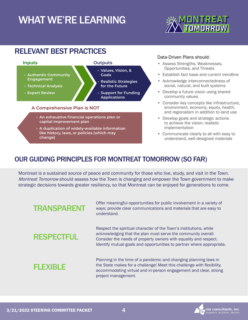# WHAT WE'RE LEARNING



### RELEVANT BEST PRACTICES



- **capital improvement plan**
- **• A duplication of widely-available information like history, laws, or policies (which may change)**

#### Data-Driven Plans should:

- Assess Strengths, Weaknesses, Opportunities, and Threats
- Establish fact base and current trendline
- Acknowledge interconnectedness of social, natural, and built systems
- Develop a future vision using shared community values
- Consider key concepts like infrastructure, environment, economy, equity, health, and regionalism in addition to land use
- Develop goals and strategic actions to achieve the vision; realistic implementation
- Communicate clearly to all with easy to understand, well-designed materials

### OUR GUIDING PRINCIPLES FOR MONTREAT TOMORROW (SO FAR)

Montreat is a sustained source of peace and community for those who live, study, and visit in the Town. Montreat Tomorrow should assess how the Town is changing and empower the Town government to make strategic decisions towards greater resiliency, so that Montreat can be enjoyed for generations to come.



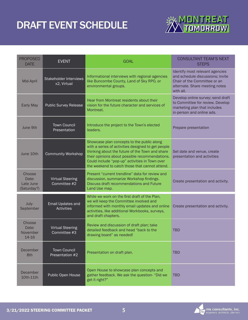## DRAFT EVENT SCHEDULE



| <b>PROPOSED</b><br><b>DATE</b>              | <b>EVENT</b>                                 | <b>GOAL</b>                                                                                                                                                                                                                                                                                               | <b>CONSULTANT TEAM'S NEXT</b><br><b>STEPS</b>                                                                                                      |
|---------------------------------------------|----------------------------------------------|-----------------------------------------------------------------------------------------------------------------------------------------------------------------------------------------------------------------------------------------------------------------------------------------------------------|----------------------------------------------------------------------------------------------------------------------------------------------------|
| Mid-April                                   | <b>Stakeholder Interviews</b><br>x2, Virtual | Informational interviews with regional agencies<br>like Buncombe County, Land of Sky RPO, or<br>environmental groups.                                                                                                                                                                                     | Identify most relevant agencies<br>and schedule discussions; invite<br>Chair of the Committee or an<br>alternate. Share meeting notes<br>with all. |
| <b>Early May</b>                            | <b>Public Survey Release</b>                 | Hear from Montreat residents about their<br>vision for the future character and services of<br>Montreat.                                                                                                                                                                                                  | Develop online survey; send draft<br>to Committee for review. Develop<br>marketing plan that includes<br>in-person and online ads.                 |
| June 9th                                    | <b>Town Council</b><br>Presentation          | Introduce the project to the Town's elected<br>leaders.                                                                                                                                                                                                                                                   | Prepare presentation                                                                                                                               |
| June 10th                                   | <b>Community Workshop</b>                    | Showcase plan concepts to the public along<br>with a series of activities designed to get people<br>thinking about the future of the Town and share<br>their opinions about possible recommendations.<br>Could include "pop-up" activities in Town over<br>the weekend to catch those that cannot attend. | Set date and venue, create<br>presentation and activities                                                                                          |
| Choose<br>Date:<br>Late June<br>(Saturday?) | <b>Virtual Steering</b><br>Committee #2      | Present "current trendline" data for review and<br>discussion, summarize Workshop findings.<br>Discuss draft recommendations and Future<br>Land Use map.                                                                                                                                                  | Create presentation and activity.                                                                                                                  |
| July-<br>September                          | Email Updates and<br><b>Activities</b>       | While we work on the first draft of the Plan,<br>we will keep the Committee involved and<br>informed with monthly email updates and online<br>activities, like additional Workbooks, surveys,<br>and draft chapters.                                                                                      | Create presentation and activity.                                                                                                                  |
| Choose<br>Date:<br>November<br>14-16        | <b>Virtual Steering</b><br>Committee #3      | Review and discussion of draft plan; take<br>detailed feedback and head "back to the<br>drawing board" as needed!                                                                                                                                                                                         | <b>TBD</b>                                                                                                                                         |
| December<br>8th                             | <b>Town Council</b><br>Presentation #2       | Presentation on draft plan.                                                                                                                                                                                                                                                                               | <b>TBD</b>                                                                                                                                         |
| December<br>10th-11th                       | Public Open House                            | Open House to showcase plan concepts and<br>gather feedback. We ask the question- "Did we<br>get it right?"                                                                                                                                                                                               | <b>TBD</b>                                                                                                                                         |